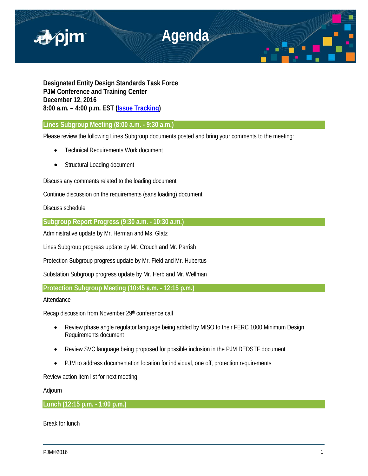

**Designated Entity Design Standards Task Force PJM Conference and Training Center December 12, 2016 8:00 a.m. – 4:00 p.m. EST [\(Issue Tracking\)](http://www.pjm.com/committees-and-groups/issue-tracking/issue-tracking-details.aspx?Issue=%7bE6133A76-DEC6-49DD-89E3-F5ECC642EA67%7d)**

**Lines Subgroup Meeting (8:00 a.m. - 9:30 a.m.)** 

Please review the following Lines Subgroup documents posted and bring your comments to the meeting:

- Technical Requirements Work document
- Structural Loading document

Discuss any comments related to the loading document

Continue discussion on the requirements (sans loading) document

Discuss schedule

**Subgroup Report Progress (9:30 a.m. - 10:30 a.m.)** 

Administrative update by Mr. Herman and Ms. Glatz

Lines Subgroup progress update by Mr. Crouch and Mr. Parrish

Protection Subgroup progress update by Mr. Field and Mr. Hubertus

Substation Subgroup progress update by Mr. Herb and Mr. Wellman

**Protection Subgroup Meeting (10:45 a.m. - 12:15 p.m.)** 

Attendance

Recap discussion from November 29th conference call

- Review phase angle regulator language being added by MISO to their FERC 1000 Minimum Design Requirements document
- Review SVC language being proposed for possible inclusion in the PJM DEDSTF document
- PJM to address documentation location for individual, one off, protection requirements

Review action item list for next meeting

Adjourn

**Lunch (12:15 p.m. - 1:00 p.m.)** 

Break for lunch